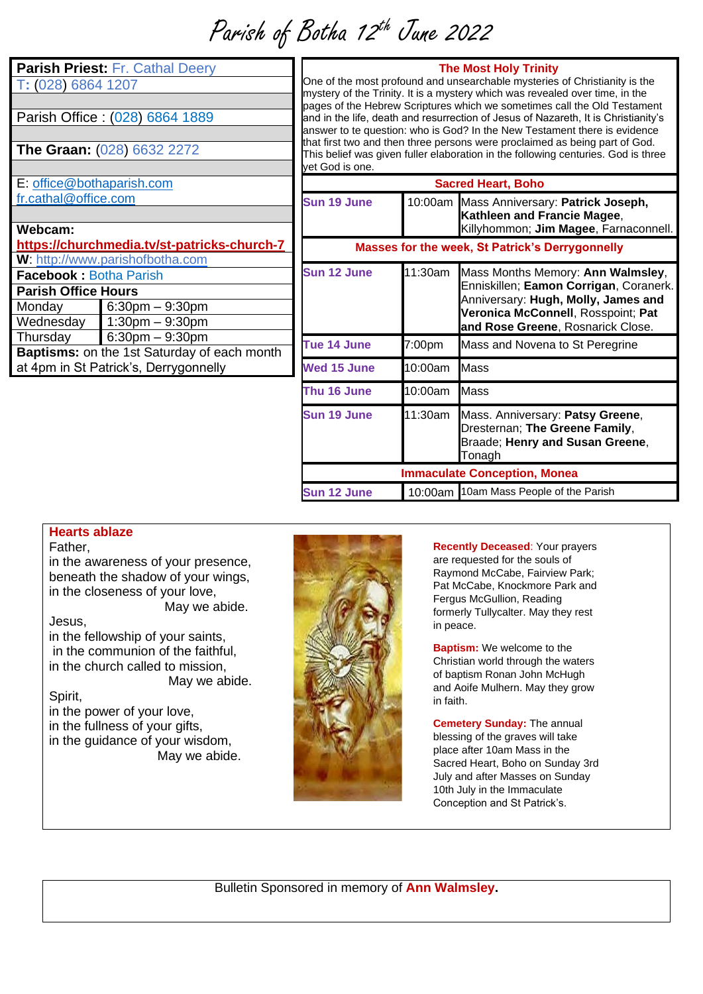Parish of Botha 12th June 2022

| Parish Priest: Fr. Cathal Deery<br>T: (028) 6864 1207 |                                             | One of the most profound<br>mystery of the Trinity. It is<br>pages of the Hebrew Scrip<br>and in the life, death and r<br>answer to te question: whe<br>that first two and then thre<br>This belief was given fulle<br>yet God is one. |      |
|-------------------------------------------------------|---------------------------------------------|----------------------------------------------------------------------------------------------------------------------------------------------------------------------------------------------------------------------------------------|------|
| Parish Office: (028) 6864 1889                        |                                             |                                                                                                                                                                                                                                        |      |
| The Graan: (028) 6632 2272                            |                                             |                                                                                                                                                                                                                                        |      |
|                                                       |                                             |                                                                                                                                                                                                                                        |      |
| E: office@bothaparish.com                             |                                             |                                                                                                                                                                                                                                        |      |
| fr.cathal@office.com                                  |                                             | Sun 19 June                                                                                                                                                                                                                            | 10:  |
|                                                       |                                             |                                                                                                                                                                                                                                        |      |
| Webcam:                                               | https://churchmedia.tv/st-patricks-church-7 | <b>Masses for t</b>                                                                                                                                                                                                                    |      |
|                                                       | W: http://www.parishofbotha.com             |                                                                                                                                                                                                                                        |      |
| <b>Facebook: Botha Parish</b>                         |                                             | Sun 12 June                                                                                                                                                                                                                            | 11:3 |
| <b>Parish Office Hours</b>                            |                                             |                                                                                                                                                                                                                                        |      |
| Monday                                                | $6:30$ pm $-9:30$ pm                        |                                                                                                                                                                                                                                        |      |
| Wednesday                                             | $1:30$ pm $-9:30$ pm                        |                                                                                                                                                                                                                                        |      |
| Thursday                                              | $6:30$ pm $-9:30$ pm                        | Tue 14 June                                                                                                                                                                                                                            | 7:00 |
| Baptisms: on the 1st Saturday of each month           |                                             |                                                                                                                                                                                                                                        |      |
| at 4pm in St Patrick's, Derrygonnelly                 |                                             | <b>Wed 15 June</b>                                                                                                                                                                                                                     | 10:C |
|                                                       |                                             | Thu 16 June                                                                                                                                                                                                                            | 10:C |
|                                                       |                                             | Sun 19 June                                                                                                                                                                                                                            | 11:3 |
|                                                       |                                             |                                                                                                                                                                                                                                        |      |

#### **The Most Holy Trinity**

and unsearchable mysteries of Christianity is the a mystery which was revealed over time, in the ptures which we sometimes call the Old Testament resurrection of Jesus of Nazareth, It is Christianity's o is God? In the New Testament there is evidence that first two and then the persons were proclaimed as being part of God. If elaboration in the following centuries. God is three

| <b>Sacred Heart, Boho</b> |         |                                                                                                                                                                                               |  |  |
|---------------------------|---------|-----------------------------------------------------------------------------------------------------------------------------------------------------------------------------------------------|--|--|
| Sun 19 June               |         | 10:00am Mass Anniversary: Patrick Joseph,<br>Kathleen and Francie Magee,<br>Killyhommon; Jim Magee, Farnaconnell.                                                                             |  |  |
|                           |         | <b>Masses for the week, St Patrick's Derrygonnelly</b>                                                                                                                                        |  |  |
| <b>Sun 12 June</b>        | 11:30am | Mass Months Memory: Ann Walmsley,<br>Enniskillen; Eamon Corrigan, Coranerk.<br>Anniversary: Hugh, Molly, James and<br>Veronica McConnell, Rosspoint; Pat<br>and Rose Greene, Rosnarick Close. |  |  |
| Tue 14 June               | 7:00pm  | Mass and Novena to St Peregrine                                                                                                                                                               |  |  |
| Wed 15 June               | 10:00am | Mass                                                                                                                                                                                          |  |  |
| Thu 16 June               | 10:00am | Mass                                                                                                                                                                                          |  |  |
| <b>Sun 19 June</b>        | 11:30am | Mass. Anniversary: Patsy Greene,<br>Dresternan; The Greene Family,<br>Braade; Henry and Susan Greene,<br>Tonagh                                                                               |  |  |
|                           |         | <b>Immaculate Conception, Monea</b>                                                                                                                                                           |  |  |
| <b>Sun 12 June</b>        |         | 10:00am 10am Mass People of the Parish                                                                                                                                                        |  |  |

### **Hearts ablaze**

#### Father,

in the awareness of your presence, beneath the shadow of your wings, in the closeness of your love, May we abide.

Jesus,

in the fellowship of your saints, in the communion of the faithful, in the church called to mission, May we abide.

#### Spirit,

in the power of your love, in the fullness of your gifts, in the guidance of your wisdom, May we abide.



**Recently Deceased**: Your prayers are requested for the souls of Raymond McCabe, Fairview Park; Pat McCabe, Knockmore Park and Fergus McGullion, Reading formerly Tullycalter. May they rest in peace.

**Baptism:** We welcome to the Christian world through the waters of baptism Ronan John McHugh and Aoife Mulhern. May they grow in faith.

**Cemetery Sunday:** The annual blessing of the graves will take place after 10am Mass in the Sacred Heart, Boho on Sunday 3rd July and after Masses on Sunday 10th July in the Immaculate Conception and St Patrick's.

Bulletin Sponsored in memory of **Ann Walmsley.**